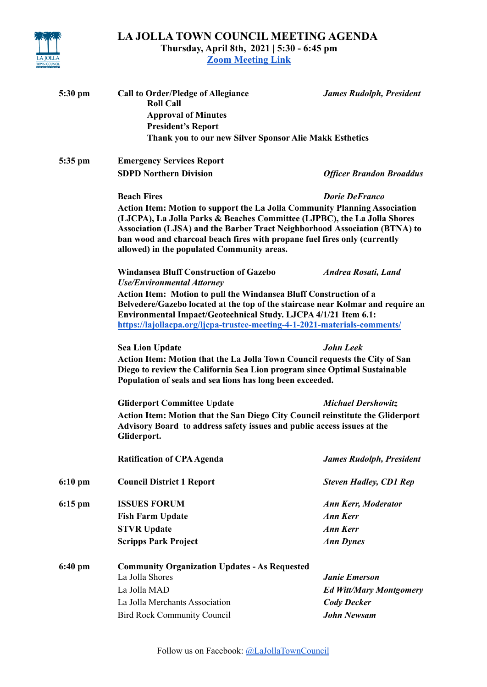

**LA JOLLA TOWN COUNCIL MEETING AGENDA Thursday, April 8th, 2021 | 5:30 - 6:45 pm**

**[Zoom Meeting Link](https://us02web.zoom.us/meeting/register/tZIsd-6qrjksEtSQREc0RPOYOCa2r0JGiJJV)**

| 5:30 pm   | <b>Call to Order/Pledge of Allegiance</b><br><b>Roll Call</b><br><b>Approval of Minutes</b><br><b>President's Report</b><br>Thank you to our new Silver Sponsor Alie Makk Esthetics                                                                                                                                                                             | <b>James Rudolph, President</b> |  |
|-----------|-----------------------------------------------------------------------------------------------------------------------------------------------------------------------------------------------------------------------------------------------------------------------------------------------------------------------------------------------------------------|---------------------------------|--|
|           |                                                                                                                                                                                                                                                                                                                                                                 |                                 |  |
| 5:35 pm   | <b>Emergency Services Report</b><br><b>SDPD Northern Division</b>                                                                                                                                                                                                                                                                                               | <b>Officer Brandon Broaddus</b> |  |
|           | <b>Beach Fires</b>                                                                                                                                                                                                                                                                                                                                              | <b>Dorie DeFranco</b>           |  |
|           | Action Item: Motion to support the La Jolla Community Planning Association<br>(LJCPA), La Jolla Parks & Beaches Committee (LJPBC), the La Jolla Shores<br>Association (LJSA) and the Barber Tract Neighborhood Association (BTNA) to<br>ban wood and charcoal beach fires with propane fuel fires only (currently<br>allowed) in the populated Community areas. |                                 |  |
|           | <b>Windansea Bluff Construction of Gazebo</b><br><b>Use/Environmental Attorney</b>                                                                                                                                                                                                                                                                              | <b>Andrea Rosati, Land</b>      |  |
|           | Action Item: Motion to pull the Windansea Bluff Construction of a<br>Belvedere/Gazebo located at the top of the staircase near Kolmar and require an<br>Environmental Impact/Geotechnical Study. LJCPA 4/1/21 Item 6.1:<br>https://lajollacpa.org/ljcpa-trustee-meeting-4-1-2021-materials-comments/                                                            |                                 |  |
|           | <b>Sea Lion Update</b><br><b>John Leek</b><br>Action Item: Motion that the La Jolla Town Council requests the City of San<br>Diego to review the California Sea Lion program since Optimal Sustainable<br>Population of seals and sea lions has long been exceeded.                                                                                             |                                 |  |
|           | <b>Gliderport Committee Update</b>                                                                                                                                                                                                                                                                                                                              | <b>Michael Dershowitz</b>       |  |
|           | Action Item: Motion that the San Diego City Council reinstitute the Gliderport<br>Advisory Board to address safety issues and public access issues at the<br>Gliderport.                                                                                                                                                                                        |                                 |  |
|           | <b>Ratification of CPA Agenda</b>                                                                                                                                                                                                                                                                                                                               | <b>James Rudolph, President</b> |  |
| $6:10$ pm | <b>Council District 1 Report</b>                                                                                                                                                                                                                                                                                                                                | <b>Steven Hadley, CD1 Rep</b>   |  |
| $6:15$ pm | <b>ISSUES FORUM</b>                                                                                                                                                                                                                                                                                                                                             | <b>Ann Kerr, Moderator</b>      |  |
|           | <b>Fish Farm Update</b>                                                                                                                                                                                                                                                                                                                                         | <b>Ann Kerr</b>                 |  |
|           | <b>STVR Update</b>                                                                                                                                                                                                                                                                                                                                              | <b>Ann Kerr</b>                 |  |
|           | <b>Scripps Park Project</b>                                                                                                                                                                                                                                                                                                                                     | <b>Ann Dynes</b>                |  |
| $6:40$ pm | <b>Community Organization Updates - As Requested</b>                                                                                                                                                                                                                                                                                                            |                                 |  |
|           | La Jolla Shores                                                                                                                                                                                                                                                                                                                                                 | <b>Janie Emerson</b>            |  |
|           | La Jolla MAD                                                                                                                                                                                                                                                                                                                                                    | <b>Ed Witt/Mary Montgomery</b>  |  |
|           | La Jolla Merchants Association                                                                                                                                                                                                                                                                                                                                  | <b>Cody Decker</b>              |  |
|           | <b>Bird Rock Community Council</b>                                                                                                                                                                                                                                                                                                                              | <b>John Newsam</b>              |  |